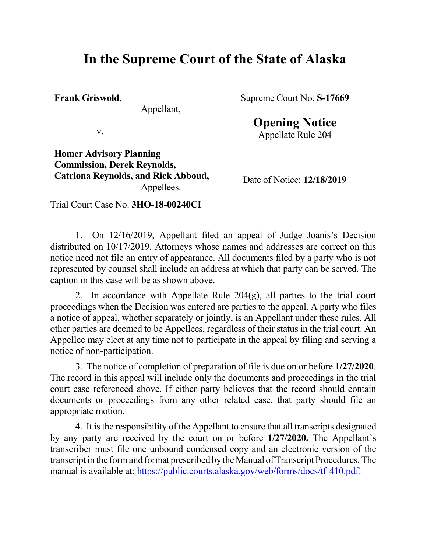## **In the Supreme Court of the State of Alaska**

**Frank Griswold,**

Appellant,

v.

**Homer Advisory Planning Commission, Derek Reynolds, Catriona Reynolds, and Rick Abboud,** Appellees.

Trial Court Case No. **3HO-18-00240CI**

Supreme Court No. **S-17669**

**Opening Notice**

Appellate Rule 204

Date of Notice: **12/18/2019**

1. On 12/16/2019, Appellant filed an appeal of Judge Joanis's Decision distributed on 10/17/2019. Attorneys whose names and addresses are correct on this notice need not file an entry of appearance. All documents filed by a party who is not represented by counsel shall include an address at which that party can be served. The

caption in this case will be as shown above.

2. In accordance with Appellate Rule 204(g), all parties to the trial court proceedings when the Decision was entered are parties to the appeal. A party who files a notice of appeal, whether separately or jointly, is an Appellant under these rules. All other parties are deemed to be Appellees, regardless of their status in the trial court. An Appellee may elect at any time not to participate in the appeal by filing and serving a notice of non-participation.

3. The notice of completion of preparation of file is due on or before **1/27/2020**. The record in this appeal will include only the documents and proceedings in the trial court case referenced above. If either party believes that the record should contain documents or proceedings from any other related case, that party should file an appropriate motion.

4. It isthe responsibility of the Appellant to ensure that all transcripts designated by any party are received by the court on or before **1/27/2020.** The Appellant's transcriber must file one unbound condensed copy and an electronic version of the transcript in the form and format prescribed by the Manual of Transcript Procedures. The manual is available at: [https://public.courts.alaska.gov/web/forms/docs/tf-410.pdf](file:///|//*).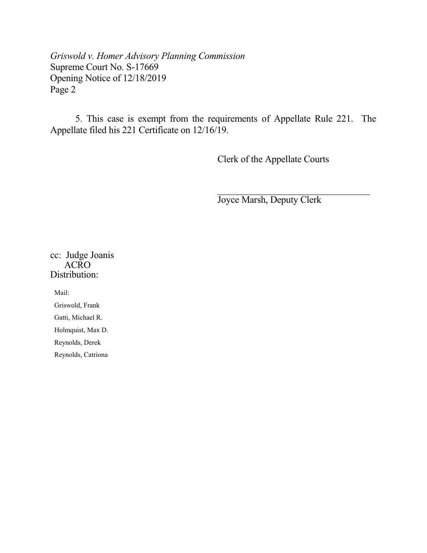5. This case is exempt from the requirements of Appellate Rule 221. The Appellate filed his 221 Certificate on 12/16/19.

Clerk of the Appellate Courts

\_\_\_\_\_\_\_\_\_\_\_\_\_\_\_\_\_\_\_\_\_\_\_\_\_\_\_\_\_\_\_\_ Joyce Marsh, Deputy Clerk

cc: Judge Joanis ACRO Distribution:

Mail:

Griswold, Frank Gatti, Michael R. Holmquist, Max D. Reynolds, Derek Reynolds, Catriona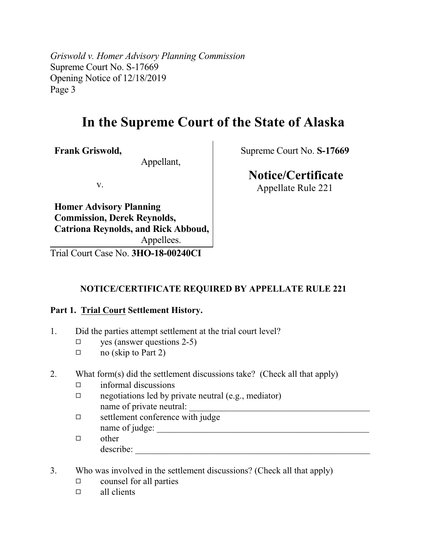# **In the Supreme Court of the State of Alaska**

**Frank Griswold,**

Appellant,

v.

**Homer Advisory Planning Commission, Derek Reynolds, Catriona Reynolds, and Rick Abboud,** Appellees.

Trial Court Case No. **3HO-18-00240CI**

#### **NOTICE/CERTIFICATE REQUIRED BY APPELLATE RULE 221**

#### **Part 1. Trial Court Settlement History.**

- 1. Did the parties attempt settlement at the trial court level?
	- $\Box$  yes (answer questions 2-5)
	- $\Box$  no (skip to Part 2)
- 2. What form(s) did the settlement discussions take? (Check all that apply)
	- $\Box$  informal discussions
	- $\Box$  negotiations led by private neutral (e.g., mediator) name of private neutral:
	- ☐ settlement conference with judge name of judge:
	- ☐ other describe:
- 3. Who was involved in the settlement discussions? (Check all that apply)
	- ☐ counsel for all parties
	- $\Box$  all clients

Supreme Court No. **S-17669**

## **Notice/Certificate**

Appellate Rule 221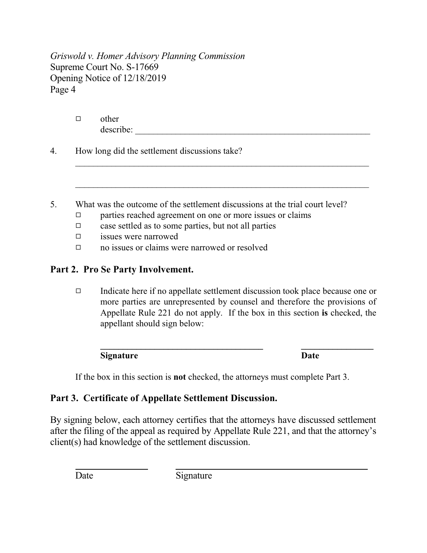| –<br>ப | other     |
|--------|-----------|
|        | describe: |

4. How long did the settlement discussions take?

5. What was the outcome of the settlement discussions at the trial court level?

 $\_$  , and the set of the set of the set of the set of the set of the set of the set of the set of the set of the set of the set of the set of the set of the set of the set of the set of the set of the set of the set of th

 $\_$  , and the set of the set of the set of the set of the set of the set of the set of the set of the set of the set of the set of the set of the set of the set of the set of the set of the set of the set of the set of th

- ☐ parties reached agreement on one or more issues or claims
- $\Box$  case settled as to some parties, but not all parties
- ☐ issues were narrowed
- ☐ no issues or claims were narrowed or resolved

### **Part 2. Pro Se Party Involvement.**

☐ Indicate here if no appellate settlement discussion took place because one or more parties are unrepresented by counsel and therefore the provisions of Appellate Rule 221 do not apply. If the box in this section **is** checked, the appellant should sign below:

**Signature Date**

**\_\_\_\_\_\_\_\_\_\_\_\_\_\_\_\_\_\_\_\_\_\_\_\_\_\_\_\_\_\_\_\_\_\_\_\_ \_\_\_\_\_\_\_\_\_\_\_\_\_\_\_\_**

If the box in this section is **not** checked, the attorneys must complete Part 3.

### **Part 3. Certificate of Appellate Settlement Discussion.**

By signing below, each attorney certifies that the attorneys have discussed settlement after the filing of the appeal as required by Appellate Rule 221, and that the attorney's client(s) had knowledge of the settlement discussion.

Date Signature